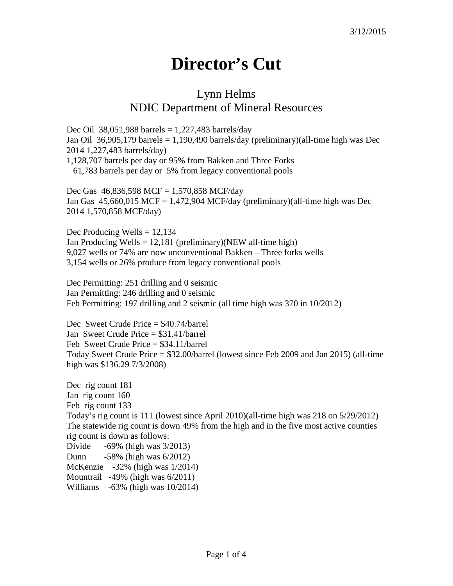## **Director's Cut**

## Lynn Helms NDIC Department of Mineral Resources

Dec Oil 38,051,988 barrels =  $1,227,483$  barrels/day Jan Oil 36,905,179 barrels = 1,190,490 barrels/day (preliminary)(all-time high was Dec 2014 1,227,483 barrels/day) 1,128,707 barrels per day or 95% from Bakken and Three Forks 61,783 barrels per day or 5% from legacy conventional pools

Dec Gas 46,836,598 MCF = 1,570,858 MCF/day Jan Gas  $45,660,015$  MCF = 1,472,904 MCF/day (preliminary)(all-time high was Dec 2014 1,570,858 MCF/day)

Dec Producing Wells  $= 12,134$ Jan Producing Wells = 12,181 (preliminary)(NEW all-time high) 9,027 wells or 74% are now unconventional Bakken – Three forks wells 3,154 wells or 26% produce from legacy conventional pools

Dec Permitting: 251 drilling and 0 seismic Jan Permitting: 246 drilling and 0 seismic Feb Permitting: 197 drilling and 2 seismic (all time high was 370 in 10/2012)

Dec Sweet Crude Price = \$40.74/barrel Jan Sweet Crude Price = \$31.41/barrel Feb Sweet Crude Price = \$34.11/barrel Today Sweet Crude Price = \$32.00/barrel (lowest since Feb 2009 and Jan 2015) (all-time high was \$136.29 7/3/2008)

Dec rig count 181 Jan rig count 160 Feb rig count 133 Today's rig count is 111 (lowest since April 2010)(all-time high was 218 on 5/29/2012) The statewide rig count is down 49% from the high and in the five most active counties rig count is down as follows: Divide -69% (high was 3/2013) Dunn -58% (high was 6/2012) McKenzie -32% (high was 1/2014) Mountrail -49% (high was 6/2011) Williams -63% (high was 10/2014)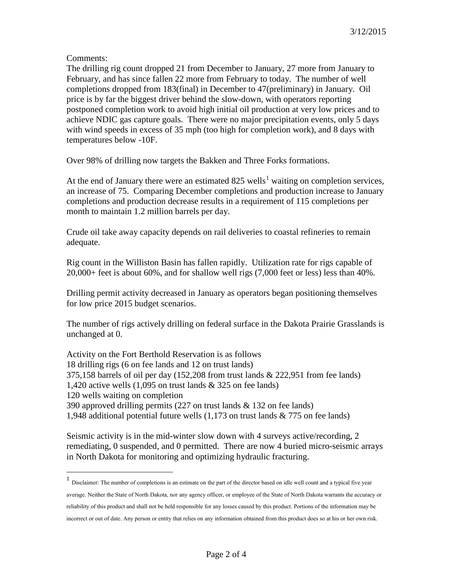Comments:

The drilling rig count dropped 21 from December to January, 27 more from January to February, and has since fallen 22 more from February to today. The number of well completions dropped from 183(final) in December to 47(preliminary) in January. Oil price is by far the biggest driver behind the slow-down, with operators reporting postponed completion work to avoid high initial oil production at very low prices and to achieve NDIC gas capture goals. There were no major precipitation events, only 5 days with wind speeds in excess of 35 mph (too high for completion work), and 8 days with temperatures below -10F.

Over 98% of drilling now targets the Bakken and Three Forks formations.

At the end of January there were an estimated  $825$  wells<sup>[1](#page-1-0)</sup> waiting on completion services, an increase of 75. Comparing December completions and production increase to January completions and production decrease results in a requirement of 115 completions per month to maintain 1.2 million barrels per day.

Crude oil take away capacity depends on rail deliveries to coastal refineries to remain adequate.

Rig count in the Williston Basin has fallen rapidly. Utilization rate for rigs capable of 20,000+ feet is about 60%, and for shallow well rigs (7,000 feet or less) less than 40%.

Drilling permit activity decreased in January as operators began positioning themselves for low price 2015 budget scenarios.

The number of rigs actively drilling on federal surface in the Dakota Prairie Grasslands is unchanged at 0.

Activity on the Fort Berthold Reservation is as follows 18 drilling rigs (6 on fee lands and 12 on trust lands) 375,158 barrels of oil per day (152,208 from trust lands & 222,951 from fee lands) 1,420 active wells  $(1,095)$  on trust lands & 325 on fee lands) 120 wells waiting on completion 390 approved drilling permits (227 on trust lands & 132 on fee lands) 1,948 additional potential future wells (1,173 on trust lands & 775 on fee lands)

Seismic activity is in the mid-winter slow down with 4 surveys active/recording, 2 remediating, 0 suspended, and 0 permitted. There are now 4 buried micro-seismic arrays in North Dakota for monitoring and optimizing hydraulic fracturing.

<span id="page-1-0"></span> <sup>1</sup> Disclaimer: The number of completions is an estimate on the part of the director based on idle well count and a typical five year average. Neither the State of North Dakota, nor any agency officer, or employee of the State of North Dakota warrants the accuracy or reliability of this product and shall not be held responsible for any losses caused by this product. Portions of the information may be incorrect or out of date. Any person or entity that relies on any information obtained from this product does so at his or her own risk.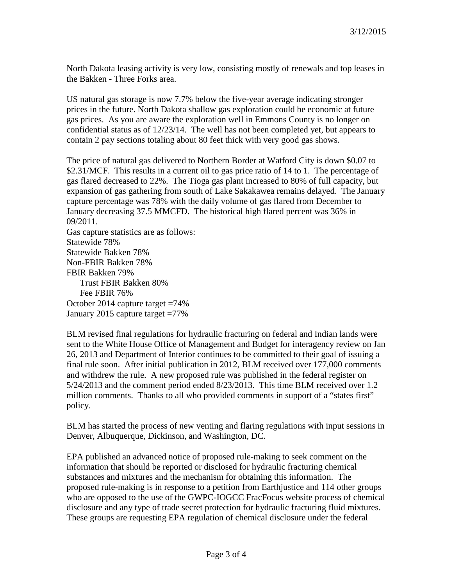North Dakota leasing activity is very low, consisting mostly of renewals and top leases in the Bakken - Three Forks area.

US natural gas storage is now 7.7% below the five-year average indicating stronger prices in the future. North Dakota shallow gas exploration could be economic at future gas prices. As you are aware the exploration well in Emmons County is no longer on confidential status as of 12/23/14. The well has not been completed yet, but appears to contain 2 pay sections totaling about 80 feet thick with very good gas shows.

The price of natural gas delivered to Northern Border at Watford City is down \$0.07 to \$2.31/MCF. This results in a current oil to gas price ratio of 14 to 1. The percentage of gas flared decreased to 22%. The Tioga gas plant increased to 80% of full capacity, but expansion of gas gathering from south of Lake Sakakawea remains delayed. The January capture percentage was 78% with the daily volume of gas flared from December to January decreasing 37.5 MMCFD. The historical high flared percent was 36% in 09/2011.

Gas capture statistics are as follows: Statewide 78% Statewide Bakken 78% Non-FBIR Bakken 78% FBIR Bakken 79% Trust FBIR Bakken 80% Fee FBIR 76% October 2014 capture target =74% January 2015 capture target =77%

BLM revised final regulations for hydraulic fracturing on federal and Indian lands were sent to the White House Office of Management and Budget for interagency review on Jan 26, 2013 and Department of Interior continues to be committed to their goal of issuing a final rule soon. After initial publication in 2012, BLM received over 177,000 comments and withdrew the rule. A new proposed rule was published in the federal register on 5/24/2013 and the comment period ended 8/23/2013. This time BLM received over 1.2 million comments. Thanks to all who provided comments in support of a "states first" policy.

BLM has started the process of new venting and flaring regulations with input sessions in Denver, Albuquerque, Dickinson, and Washington, DC.

EPA published an advanced notice of proposed rule-making to seek comment on the information that should be reported or disclosed for hydraulic fracturing chemical substances and mixtures and the mechanism for obtaining this information. The proposed rule-making is in response to a petition from Earthjustice and 114 other groups who are opposed to the use of the GWPC-IOGCC FracFocus website process of chemical disclosure and any type of trade secret protection for hydraulic fracturing fluid mixtures. These groups are requesting EPA regulation of chemical disclosure under the federal